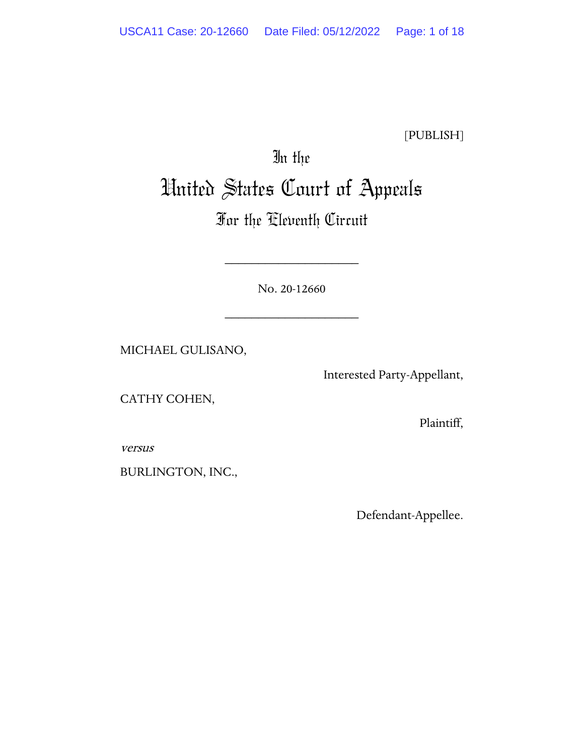[PUBLISH]

# In the United States Court of Appeals

# For the Eleventh Circuit

No. 20-12660

\_\_\_\_\_\_\_\_\_\_\_\_\_\_\_\_\_\_\_\_

\_\_\_\_\_\_\_\_\_\_\_\_\_\_\_\_\_\_\_\_

MICHAEL GULISANO,

Interested Party-Appellant,

CATHY COHEN,

Plaintiff,

versus

BURLINGTON, INC.,

Defendant-Appellee.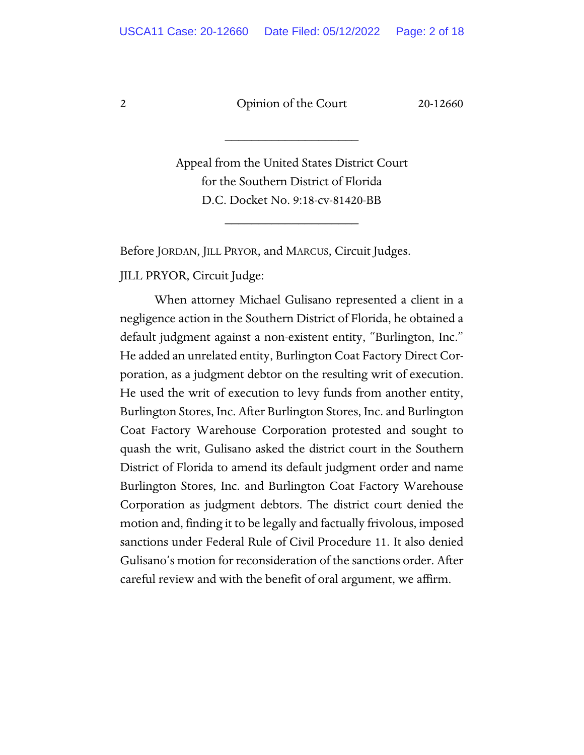\_\_\_\_\_\_\_\_\_\_\_\_\_\_\_\_\_\_\_\_

Appeal from the United States District Court for the Southern District of Florida D.C. Docket No. 9:18-cv-81420-BB

\_\_\_\_\_\_\_\_\_\_\_\_\_\_\_\_\_\_\_\_

Before JORDAN, JILL PRYOR, and MARCUS, Circuit Judges.

JILL PRYOR, Circuit Judge:

When attorney Michael Gulisano represented a client in a negligence action in the Southern District of Florida, he obtained a default judgment against a non-existent entity, "Burlington, Inc." He added an unrelated entity, Burlington Coat Factory Direct Corporation, as a judgment debtor on the resulting writ of execution. He used the writ of execution to levy funds from another entity, Burlington Stores, Inc. After Burlington Stores, Inc. and Burlington Coat Factory Warehouse Corporation protested and sought to quash the writ, Gulisano asked the district court in the Southern District of Florida to amend its default judgment order and name Burlington Stores, Inc. and Burlington Coat Factory Warehouse Corporation as judgment debtors. The district court denied the motion and, finding it to be legally and factually frivolous, imposed sanctions under Federal Rule of Civil Procedure 11. It also denied Gulisano's motion for reconsideration of the sanctions order. After careful review and with the benefit of oral argument, we affirm.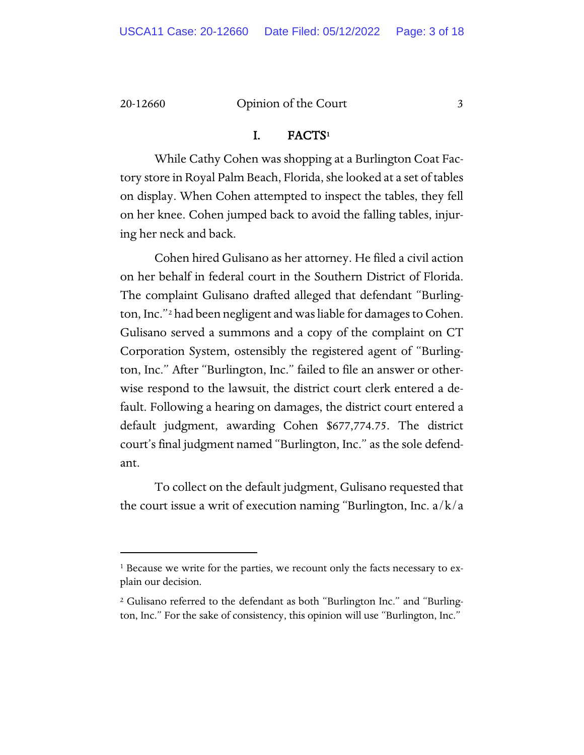#### I. FACT[S1](#page-2-0)

While Cathy Cohen was shopping at a Burlington Coat Factory store in Royal Palm Beach, Florida, she looked at a set of tables on display. When Cohen attempted to inspect the tables, they fell on her knee. Cohen jumped back to avoid the falling tables, injuring her neck and back.

Cohen hired Gulisano as her attorney. He filed a civil action on her behalf in federal court in the Southern District of Florida. The complaint Gulisano drafted alleged that defendant "Burling-ton, Inc."<sup>[2](#page-2-1)</sup> had been negligent and was liable for damages to Cohen. Gulisano served a summons and a copy of the complaint on CT Corporation System, ostensibly the registered agent of "Burlington, Inc." After "Burlington, Inc." failed to file an answer or otherwise respond to the lawsuit, the district court clerk entered a default. Following a hearing on damages, the district court entered a default judgment, awarding Cohen \$677,774.75. The district court's final judgment named "Burlington, Inc." as the sole defendant.

To collect on the default judgment, Gulisano requested that the court issue a writ of execution naming "Burlington, Inc.  $a/k/a$ 

<span id="page-2-0"></span><sup>&</sup>lt;sup>1</sup> Because we write for the parties, we recount only the facts necessary to explain our decision.

<span id="page-2-1"></span><sup>2</sup> Gulisano referred to the defendant as both "Burlington Inc." and "Burlington, Inc." For the sake of consistency, this opinion will use "Burlington, Inc."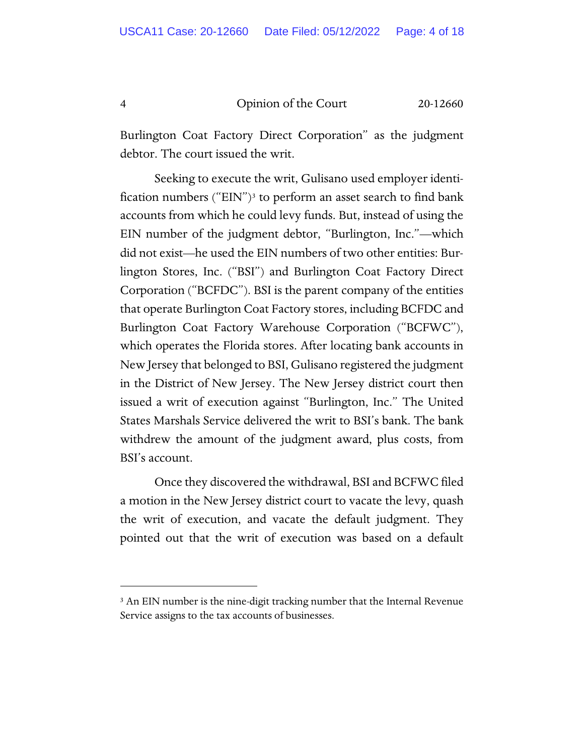Burlington Coat Factory Direct Corporation" as the judgment debtor. The court issued the writ.

Seeking to execute the writ, Gulisano used employer identi-fication numbers ("EIN")<sup>[3](#page-3-0)</sup> to perform an asset search to find bank accounts from which he could levy funds. But, instead of using the EIN number of the judgment debtor, "Burlington, Inc."—which did not exist—he used the EIN numbers of two other entities: Burlington Stores, Inc. ("BSI") and Burlington Coat Factory Direct Corporation ("BCFDC"). BSI is the parent company of the entities that operate Burlington Coat Factory stores, including BCFDC and Burlington Coat Factory Warehouse Corporation ("BCFWC"), which operates the Florida stores. After locating bank accounts in New Jersey that belonged to BSI, Gulisano registered the judgment in the District of New Jersey. The New Jersey district court then issued a writ of execution against "Burlington, Inc." The United States Marshals Service delivered the writ to BSI's bank. The bank withdrew the amount of the judgment award, plus costs, from BSI's account.

Once they discovered the withdrawal, BSI and BCFWC filed a motion in the New Jersey district court to vacate the levy, quash the writ of execution, and vacate the default judgment. They pointed out that the writ of execution was based on a default

<span id="page-3-0"></span><sup>&</sup>lt;sup>3</sup> An EIN number is the nine-digit tracking number that the Internal Revenue Service assigns to the tax accounts of businesses.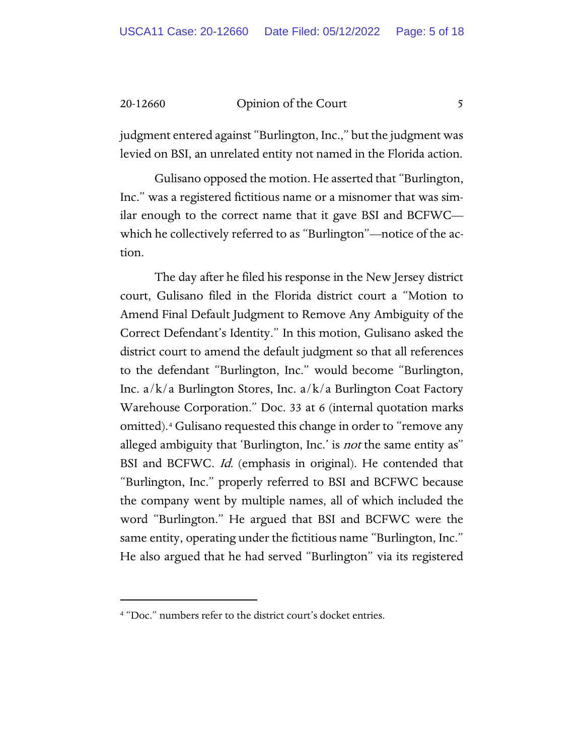judgment entered against "Burlington, Inc.," but the judgment was levied on BSI, an unrelated entity not named in the Florida action.

Gulisano opposed the motion. He asserted that "Burlington, Inc." was a registered fictitious name or a misnomer that was similar enough to the correct name that it gave BSI and BCFWC which he collectively referred to as "Burlington"—notice of the action.

The day after he filed his response in the New Jersey district court, Gulisano filed in the Florida district court a "Motion to Amend Final Default Judgment to Remove Any Ambiguity of the Correct Defendant's Identity." In this motion, Gulisano asked the district court to amend the default judgment so that all references to the defendant "Burlington, Inc." would become "Burlington, Inc. a/k/a Burlington Stores, Inc. a/k/a Burlington Coat Factory Warehouse Corporation." Doc. 33 at 6 (internal quotation marks omitted).[4](#page-4-0) Gulisano requested this change in order to "remove any alleged ambiguity that 'Burlington, Inc.' is *not* the same entity as" BSI and BCFWC. Id. (emphasis in original). He contended that "Burlington, Inc." properly referred to BSI and BCFWC because the company went by multiple names, all of which included the word "Burlington." He argued that BSI and BCFWC were the same entity, operating under the fictitious name "Burlington, Inc." He also argued that he had served "Burlington" via its registered

<span id="page-4-0"></span><sup>4</sup> "Doc." numbers refer to the district court's docket entries.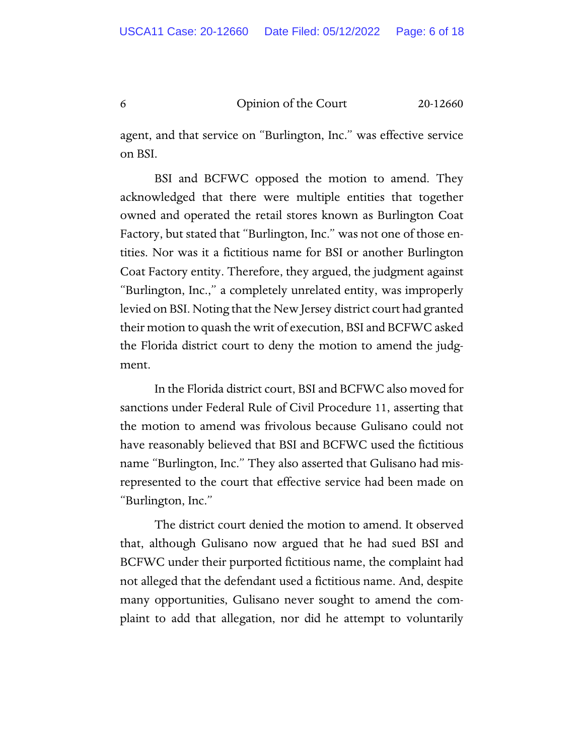agent, and that service on "Burlington, Inc." was effective service on BSI.

BSI and BCFWC opposed the motion to amend. They acknowledged that there were multiple entities that together owned and operated the retail stores known as Burlington Coat Factory, but stated that "Burlington, Inc." was not one of those entities. Nor was it a fictitious name for BSI or another Burlington Coat Factory entity. Therefore, they argued, the judgment against "Burlington, Inc.," a completely unrelated entity, was improperly levied on BSI. Noting that the New Jersey district court had granted their motion to quash the writ of execution, BSI and BCFWC asked the Florida district court to deny the motion to amend the judgment.

In the Florida district court, BSI and BCFWC also moved for sanctions under Federal Rule of Civil Procedure 11, asserting that the motion to amend was frivolous because Gulisano could not have reasonably believed that BSI and BCFWC used the fictitious name "Burlington, Inc." They also asserted that Gulisano had misrepresented to the court that effective service had been made on "Burlington, Inc."

The district court denied the motion to amend. It observed that, although Gulisano now argued that he had sued BSI and BCFWC under their purported fictitious name, the complaint had not alleged that the defendant used a fictitious name. And, despite many opportunities, Gulisano never sought to amend the complaint to add that allegation, nor did he attempt to voluntarily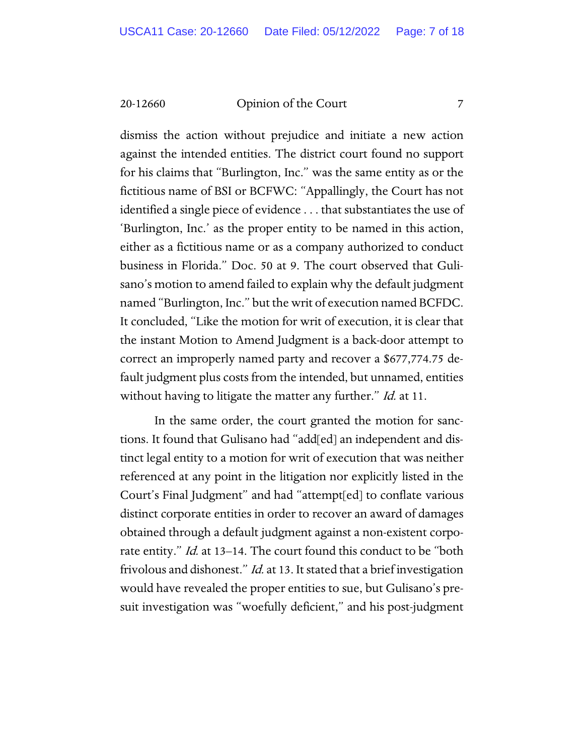dismiss the action without prejudice and initiate a new action against the intended entities. The district court found no support for his claims that "Burlington, Inc." was the same entity as or the fictitious name of BSI or BCFWC: "Appallingly, the Court has not identified a single piece of evidence . . . that substantiates the use of 'Burlington, Inc.' as the proper entity to be named in this action, either as a fictitious name or as a company authorized to conduct business in Florida." Doc. 50 at 9. The court observed that Gulisano's motion to amend failed to explain why the default judgment named "Burlington, Inc." but the writ of execution named BCFDC. It concluded, "Like the motion for writ of execution, it is clear that the instant Motion to Amend Judgment is a back-door attempt to correct an improperly named party and recover a \$677,774.75 default judgment plus costs from the intended, but unnamed, entities without having to litigate the matter any further." Id. at 11.

In the same order, the court granted the motion for sanctions. It found that Gulisano had "add[ed] an independent and distinct legal entity to a motion for writ of execution that was neither referenced at any point in the litigation nor explicitly listed in the Court's Final Judgment" and had "attempt[ed] to conflate various distinct corporate entities in order to recover an award of damages obtained through a default judgment against a non-existent corporate entity." Id. at 13–14. The court found this conduct to be "both frivolous and dishonest." *Id.* at 13. It stated that a brief investigation would have revealed the proper entities to sue, but Gulisano's presuit investigation was "woefully deficient," and his post-judgment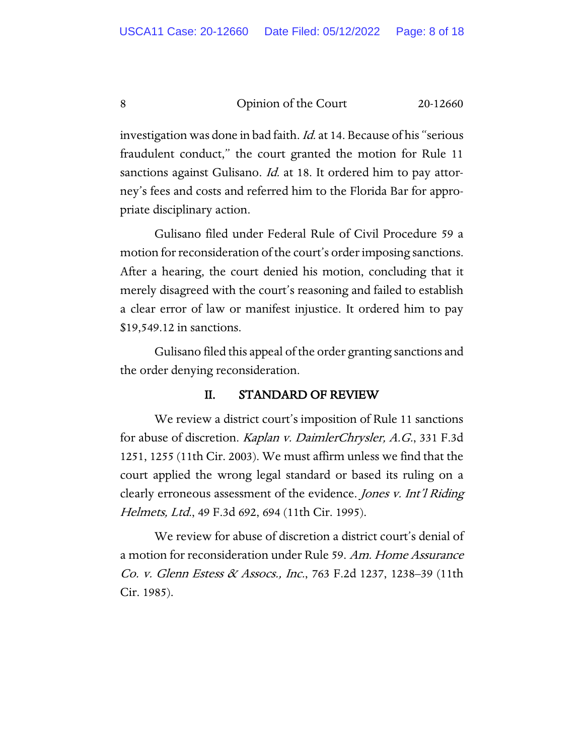investigation was done in bad faith. Id. at 14. Because of his "serious fraudulent conduct," the court granted the motion for Rule 11 sanctions against Gulisano. *Id.* at 18. It ordered him to pay attorney's fees and costs and referred him to the Florida Bar for appropriate disciplinary action.

Gulisano filed under Federal Rule of Civil Procedure 59 a motion for reconsideration of the court's order imposing sanctions. After a hearing, the court denied his motion, concluding that it merely disagreed with the court's reasoning and failed to establish a clear error of law or manifest injustice. It ordered him to pay \$19,549.12 in sanctions.

Gulisano filed this appeal of the order granting sanctions and the order denying reconsideration.

#### II. STANDARD OF REVIEW

We review a district court's imposition of Rule 11 sanctions for abuse of discretion. Kaplan v. DaimlerChrysler, A.G., 331 F.3d 1251, 1255 (11th Cir. 2003). We must affirm unless we find that the court applied the wrong legal standard or based its ruling on a clearly erroneous assessment of the evidence. Jones v. Int'l Riding Helmets, Ltd., 49 F.3d 692, 694 (11th Cir. 1995).

We review for abuse of discretion a district court's denial of a motion for reconsideration under Rule 59. Am. Home Assurance Co. v. Glenn Estess & Assocs., Inc., 763 F.2d 1237, 1238–39 (11th Cir. 1985).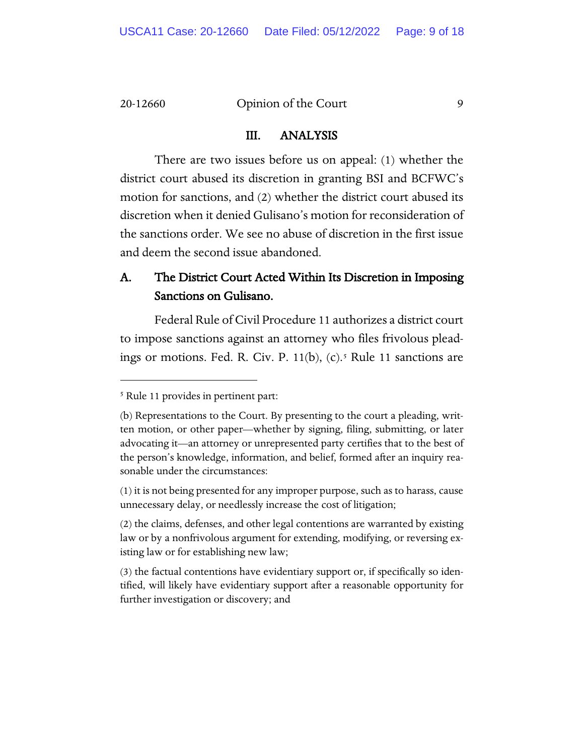#### III. ANALYSIS

There are two issues before us on appeal: (1) whether the district court abused its discretion in granting BSI and BCFWC's motion for sanctions, and (2) whether the district court abused its discretion when it denied Gulisano's motion for reconsideration of the sanctions order. We see no abuse of discretion in the first issue and deem the second issue abandoned.

## A. The District Court Acted Within Its Discretion in Imposing Sanctions on Gulisano.

Federal Rule of Civil Procedure 11 authorizes a district court to impose sanctions against an attorney who files frivolous pleadings or motions. Fed. R. Civ. P.  $11(b)$ , (c).<sup>[5](#page-8-0)</sup> Rule 11 sanctions are

<span id="page-8-0"></span><sup>5</sup> Rule 11 provides in pertinent part:

<sup>(</sup>b) Representations to the Court. By presenting to the court a pleading, written motion, or other paper—whether by signing, filing, submitting, or later advocating it—an attorney or unrepresented party certifies that to the best of the person's knowledge, information, and belief, formed after an inquiry reasonable under the circumstances:

<sup>(1)</sup> it is not being presented for any improper purpose, such as to harass, cause unnecessary delay, or needlessly increase the cost of litigation;

<sup>(2)</sup> the claims, defenses, and other legal contentions are warranted by existing law or by a nonfrivolous argument for extending, modifying, or reversing existing law or for establishing new law;

<sup>(3)</sup> the factual contentions have evidentiary support or, if specifically so identified, will likely have evidentiary support after a reasonable opportunity for further investigation or discovery; and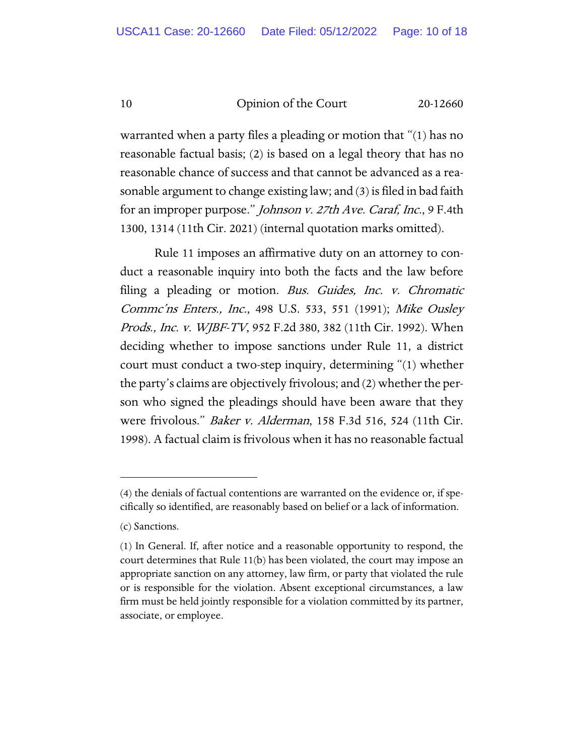warranted when a party files a pleading or motion that "(1) has no reasonable factual basis; (2) is based on a legal theory that has no reasonable chance of success and that cannot be advanced as a reasonable argument to change existing law; and (3) is filed in bad faith for an improper purpose." Johnson v. 27th Ave. Caraf, Inc., 9 F.4th 1300, 1314 (11th Cir. 2021) (internal quotation marks omitted).

Rule 11 imposes an affirmative duty on an attorney to conduct a reasonable inquiry into both the facts and the law before filing a pleading or motion. Bus. Guides, Inc. v. Chromatic Commc'ns Enters., Inc., 498 U.S. 533, 551 (1991); Mike Ousley Prods., Inc. v. WJBF-TV, 952 F.2d 380, 382 (11th Cir. 1992). When deciding whether to impose sanctions under Rule 11, a district court must conduct a two-step inquiry, determining "(1) whether the party's claims are objectively frivolous; and (2) whether the person who signed the pleadings should have been aware that they were frivolous." Baker v. Alderman, 158 F.3d 516, 524 (11th Cir. 1998). A factual claim is frivolous when it has no reasonable factual

<sup>(4)</sup> the denials of factual contentions are warranted on the evidence or, if specifically so identified, are reasonably based on belief or a lack of information.

<sup>(</sup>c) Sanctions.

<sup>(1)</sup> In General. If, after notice and a reasonable opportunity to respond, the court determines that Rule 11(b) has been violated, the court may impose an appropriate sanction on any attorney, law firm, or party that violated the rule or is responsible for the violation. Absent exceptional circumstances, a law firm must be held jointly responsible for a violation committed by its partner, associate, or employee.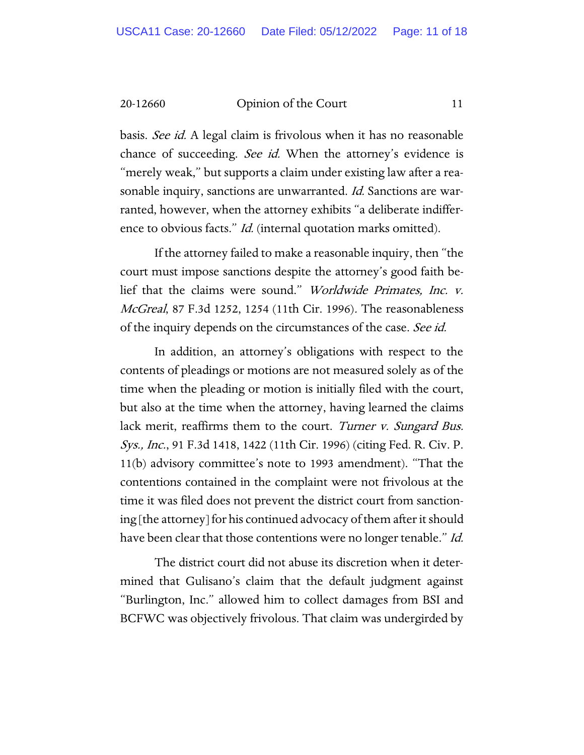basis. See id. A legal claim is frivolous when it has no reasonable chance of succeeding. See id. When the attorney's evidence is "merely weak," but supports a claim under existing law after a reasonable inquiry, sanctions are unwarranted. Id. Sanctions are warranted, however, when the attorney exhibits "a deliberate indifference to obvious facts." *Id.* (internal quotation marks omitted).

If the attorney failed to make a reasonable inquiry, then "the court must impose sanctions despite the attorney's good faith belief that the claims were sound." Worldwide Primates, Inc. v. McGreal, 87 F.3d 1252, 1254 (11th Cir. 1996). The reasonableness of the inquiry depends on the circumstances of the case. See id.

In addition, an attorney's obligations with respect to the contents of pleadings or motions are not measured solely as of the time when the pleading or motion is initially filed with the court, but also at the time when the attorney, having learned the claims lack merit, reaffirms them to the court. Turner v. Sungard Bus. Sys., Inc., 91 F.3d 1418, 1422 (11th Cir. 1996) (citing Fed. R. Civ. P. 11(b) advisory committee's note to 1993 amendment). "That the contentions contained in the complaint were not frivolous at the time it was filed does not prevent the district court from sanctioning [the attorney] for his continued advocacy of them after it should have been clear that those contentions were no longer tenable." Id.

The district court did not abuse its discretion when it determined that Gulisano's claim that the default judgment against "Burlington, Inc." allowed him to collect damages from BSI and BCFWC was objectively frivolous. That claim was undergirded by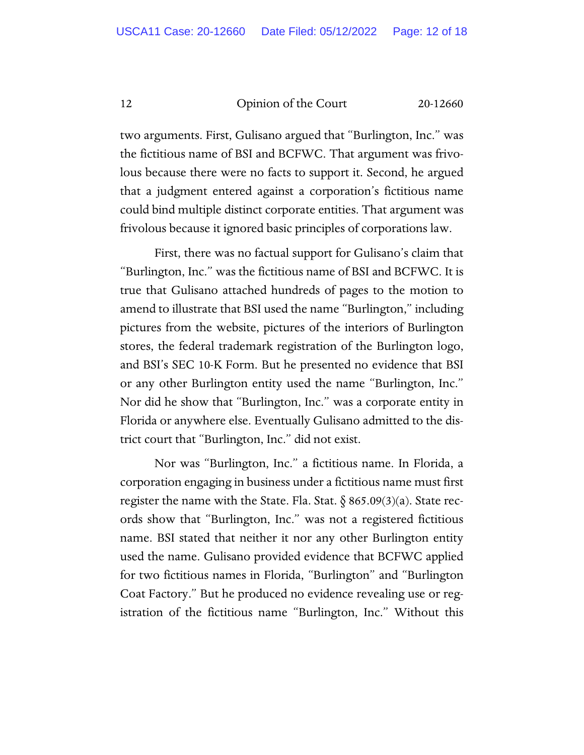two arguments. First, Gulisano argued that "Burlington, Inc." was the fictitious name of BSI and BCFWC. That argument was frivolous because there were no facts to support it. Second, he argued that a judgment entered against a corporation's fictitious name could bind multiple distinct corporate entities. That argument was frivolous because it ignored basic principles of corporations law.

First, there was no factual support for Gulisano's claim that "Burlington, Inc." was the fictitious name of BSI and BCFWC. It is true that Gulisano attached hundreds of pages to the motion to amend to illustrate that BSI used the name "Burlington," including pictures from the website, pictures of the interiors of Burlington stores, the federal trademark registration of the Burlington logo, and BSI's SEC 10-K Form. But he presented no evidence that BSI or any other Burlington entity used the name "Burlington, Inc." Nor did he show that "Burlington, Inc." was a corporate entity in Florida or anywhere else. Eventually Gulisano admitted to the district court that "Burlington, Inc." did not exist.

Nor was "Burlington, Inc." a fictitious name. In Florida, a corporation engaging in business under a fictitious name must first register the name with the State. Fla. Stat.  $\S$  865.09(3)(a). State records show that "Burlington, Inc." was not a registered fictitious name. BSI stated that neither it nor any other Burlington entity used the name. Gulisano provided evidence that BCFWC applied for two fictitious names in Florida, "Burlington" and "Burlington Coat Factory." But he produced no evidence revealing use or registration of the fictitious name "Burlington, Inc." Without this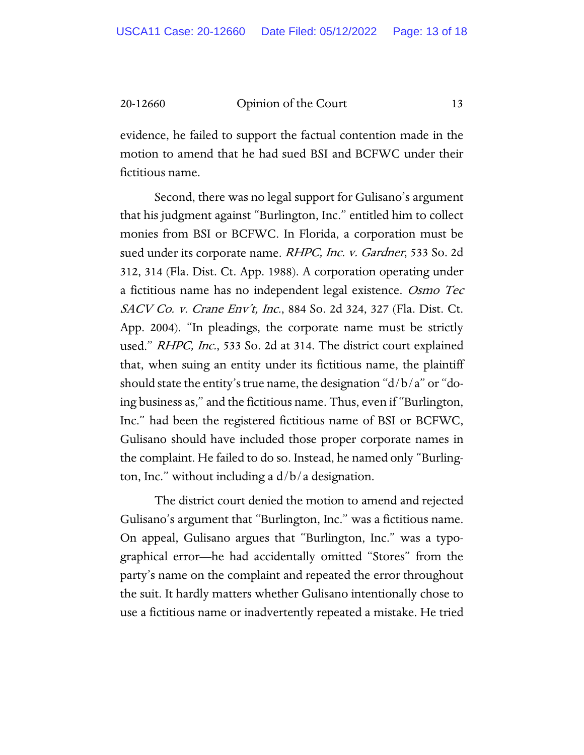evidence, he failed to support the factual contention made in the motion to amend that he had sued BSI and BCFWC under their fictitious name.

Second, there was no legal support for Gulisano's argument that his judgment against "Burlington, Inc." entitled him to collect monies from BSI or BCFWC. In Florida, a corporation must be sued under its corporate name. *RHPC, Inc. v. Gardner*, 533 So. 2d 312, 314 (Fla. Dist. Ct. App. 1988). A corporation operating under a fictitious name has no independent legal existence. Osmo Tec SACV Co. v. Crane Env't, Inc., 884 So. 2d 324, 327 (Fla. Dist. Ct. App. 2004). "In pleadings, the corporate name must be strictly used." RHPC, Inc., 533 So. 2d at 314. The district court explained that, when suing an entity under its fictitious name, the plaintiff should state the entity's true name, the designation "d/b/a" or "doing business as," and the fictitious name. Thus, even if "Burlington, Inc." had been the registered fictitious name of BSI or BCFWC, Gulisano should have included those proper corporate names in the complaint. He failed to do so. Instead, he named only "Burlington, Inc." without including a  $d/b/a$  designation.

The district court denied the motion to amend and rejected Gulisano's argument that "Burlington, Inc." was a fictitious name. On appeal, Gulisano argues that "Burlington, Inc." was a typographical error—he had accidentally omitted "Stores" from the party's name on the complaint and repeated the error throughout the suit. It hardly matters whether Gulisano intentionally chose to use a fictitious name or inadvertently repeated a mistake. He tried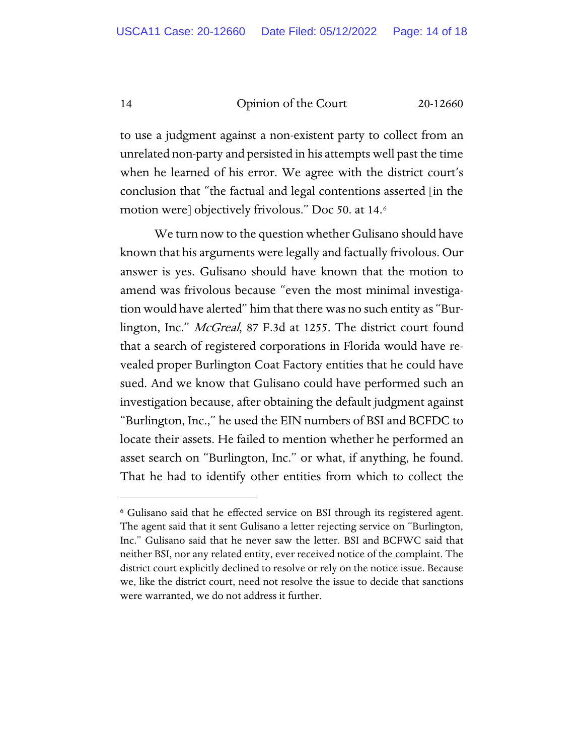to use a judgment against a non-existent party to collect from an unrelated non-party and persisted in his attempts well past the time when he learned of his error. We agree with the district court's conclusion that "the factual and legal contentions asserted [in the motion were] objectively frivolous." Doc 50. at 14.[6](#page-13-0)

We turn now to the question whether Gulisano should have known that his arguments were legally and factually frivolous. Our answer is yes. Gulisano should have known that the motion to amend was frivolous because "even the most minimal investigation would have alerted" him that there was no such entity as "Burlington, Inc." McGreal, 87 F.3d at 1255. The district court found that a search of registered corporations in Florida would have revealed proper Burlington Coat Factory entities that he could have sued. And we know that Gulisano could have performed such an investigation because, after obtaining the default judgment against "Burlington, Inc.," he used the EIN numbers of BSI and BCFDC to locate their assets. He failed to mention whether he performed an asset search on "Burlington, Inc." or what, if anything, he found. That he had to identify other entities from which to collect the

<span id="page-13-0"></span><sup>6</sup> Gulisano said that he effected service on BSI through its registered agent. The agent said that it sent Gulisano a letter rejecting service on "Burlington, Inc." Gulisano said that he never saw the letter. BSI and BCFWC said that neither BSI, nor any related entity, ever received notice of the complaint. The district court explicitly declined to resolve or rely on the notice issue. Because we, like the district court, need not resolve the issue to decide that sanctions were warranted, we do not address it further.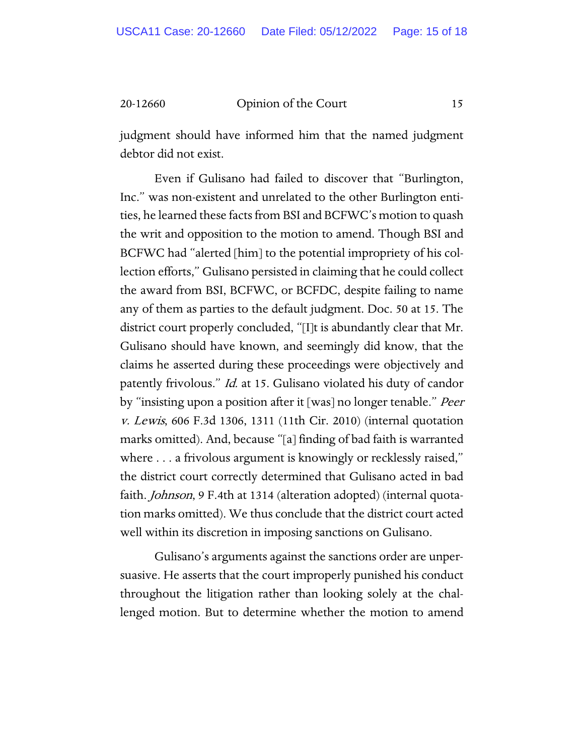judgment should have informed him that the named judgment debtor did not exist.

Even if Gulisano had failed to discover that "Burlington, Inc." was non-existent and unrelated to the other Burlington entities, he learned these facts from BSI and BCFWC's motion to quash the writ and opposition to the motion to amend. Though BSI and BCFWC had "alerted [him] to the potential impropriety of his collection efforts," Gulisano persisted in claiming that he could collect the award from BSI, BCFWC, or BCFDC, despite failing to name any of them as parties to the default judgment. Doc. 50 at 15. The district court properly concluded, "[I]t is abundantly clear that Mr. Gulisano should have known, and seemingly did know, that the claims he asserted during these proceedings were objectively and patently frivolous." Id. at 15. Gulisano violated his duty of candor by "insisting upon a position after it [was] no longer tenable." *Peer* v. Lewis, 606 F.3d 1306, 1311 (11th Cir. 2010) (internal quotation marks omitted). And, because "[a] finding of bad faith is warranted where . . . a frivolous argument is knowingly or recklessly raised," the district court correctly determined that Gulisano acted in bad faith. Johnson, 9 F.4th at 1314 (alteration adopted) (internal quotation marks omitted). We thus conclude that the district court acted well within its discretion in imposing sanctions on Gulisano.

Gulisano's arguments against the sanctions order are unpersuasive. He asserts that the court improperly punished his conduct throughout the litigation rather than looking solely at the challenged motion. But to determine whether the motion to amend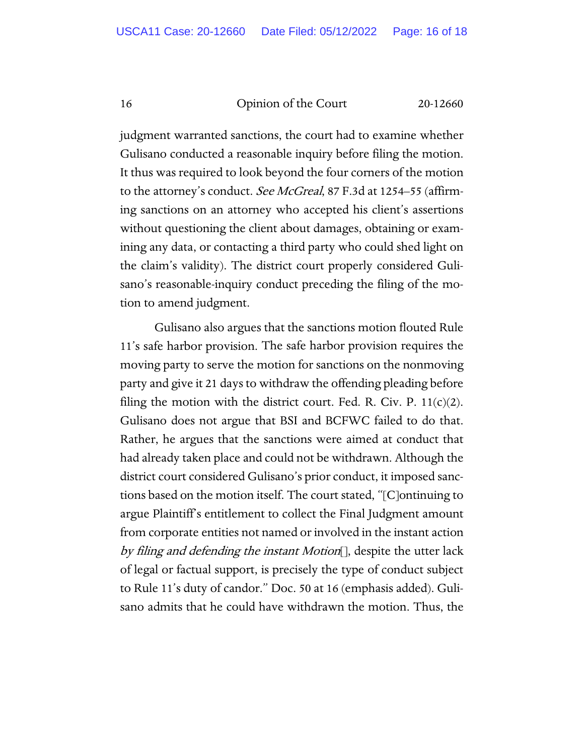judgment warranted sanctions, the court had to examine whether Gulisano conducted a reasonable inquiry before filing the motion. It thus was required to look beyond the four corners of the motion to the attorney's conduct. See McGreal, 87 F.3d at 1254–55 (affirming sanctions on an attorney who accepted his client's assertions without questioning the client about damages, obtaining or examining any data, or contacting a third party who could shed light on the claim's validity). The district court properly considered Gulisano's reasonable-inquiry conduct preceding the filing of the motion to amend judgment.

Gulisano also argues that the sanctions motion flouted Rule 11's safe harbor provision. The safe harbor provision requires the moving party to serve the motion for sanctions on the nonmoving party and give it 21 days to withdraw the offending pleading before filing the motion with the district court. Fed. R. Civ. P.  $11(c)(2)$ . Gulisano does not argue that BSI and BCFWC failed to do that. Rather, he argues that the sanctions were aimed at conduct that had already taken place and could not be withdrawn. Although the district court considered Gulisano's prior conduct, it imposed sanctions based on the motion itself. The court stated, "[C]ontinuing to argue Plaintiff's entitlement to collect the Final Judgment amount from corporate entities not named or involved in the instant action by filing and defending the instant Motion<sup>[]</sup>, despite the utter lack of legal or factual support, is precisely the type of conduct subject to Rule 11's duty of candor." Doc. 50 at 16 (emphasis added). Gulisano admits that he could have withdrawn the motion. Thus, the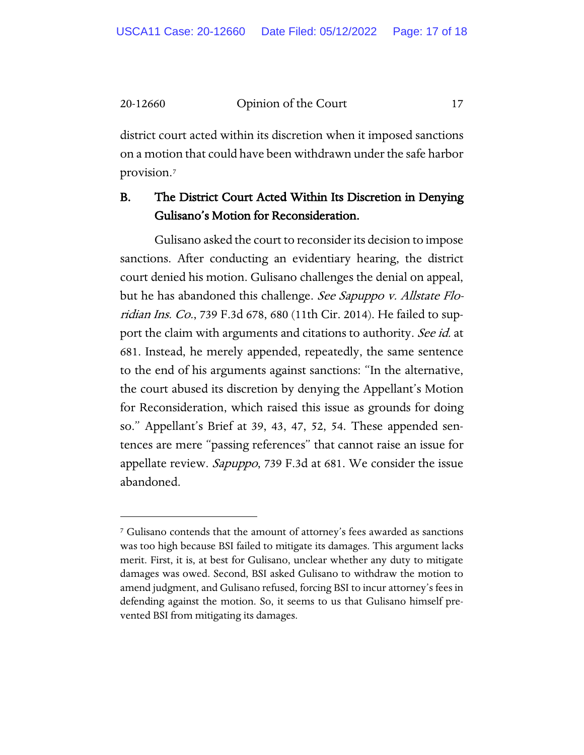district court acted within its discretion when it imposed sanctions on a motion that could have been withdrawn under the safe harbor provision.[7](#page-16-0)

# B. The District Court Acted Within Its Discretion in Denying Gulisano's Motion for Reconsideration.

Gulisano asked the court to reconsider its decision to impose sanctions. After conducting an evidentiary hearing, the district court denied his motion. Gulisano challenges the denial on appeal, but he has abandoned this challenge. See Sapuppo v. Allstate Floridian Ins. Co., 739 F.3d 678, 680 (11th Cir. 2014). He failed to support the claim with arguments and citations to authority. See id. at 681. Instead, he merely appended, repeatedly, the same sentence to the end of his arguments against sanctions: "In the alternative, the court abused its discretion by denying the Appellant's Motion for Reconsideration, which raised this issue as grounds for doing so." Appellant's Brief at 39, 43, 47, 52, 54. These appended sentences are mere "passing references" that cannot raise an issue for appellate review. Sapuppo, 739 F.3d at 681. We consider the issue abandoned.

<span id="page-16-0"></span><sup>7</sup> Gulisano contends that the amount of attorney's fees awarded as sanctions was too high because BSI failed to mitigate its damages. This argument lacks merit. First, it is, at best for Gulisano, unclear whether any duty to mitigate damages was owed. Second, BSI asked Gulisano to withdraw the motion to amend judgment, and Gulisano refused, forcing BSI to incur attorney's fees in defending against the motion. So, it seems to us that Gulisano himself prevented BSI from mitigating its damages.